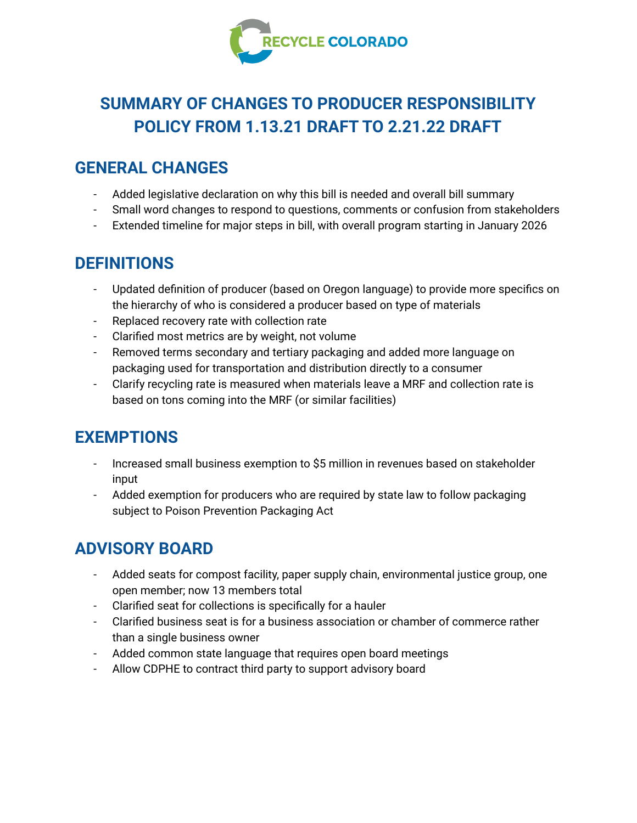

# **SUMMARY OF CHANGES TO PRODUCER RESPONSIBILITY POLICY FROM 1.13.21 DRAFT TO 2.21.22 DRAFT**

## **GENERAL CHANGES**

- Added legislative declaration on why this bill is needed and overall bill summary
- Small word changes to respond to questions, comments or confusion from stakeholders
- Extended timeline for major steps in bill, with overall program starting in January 2026

### **DEFINITIONS**

- Updated definition of producer (based on Oregon language) to provide more specifics on the hierarchy of who is considered a producer based on type of materials
- Replaced recovery rate with collection rate
- Clarified most metrics are by weight, not volume
- Removed terms secondary and tertiary packaging and added more language on packaging used for transportation and distribution directly to a consumer
- Clarify recycling rate is measured when materials leave a MRF and collection rate is based on tons coming into the MRF (or similar facilities)

## **EXEMPTIONS**

- Increased small business exemption to \$5 million in revenues based on stakeholder input
- Added exemption for producers who are required by state law to follow packaging subject to Poison Prevention Packaging Act

## **ADVISORY BOARD**

- Added seats for compost facility, paper supply chain, environmental justice group, one open member; now 13 members total
- Clarified seat for collections is specifically for a hauler
- Clarified business seat is for a business association or chamber of commerce rather than a single business owner
- Added common state language that requires open board meetings
- Allow CDPHE to contract third party to support advisory board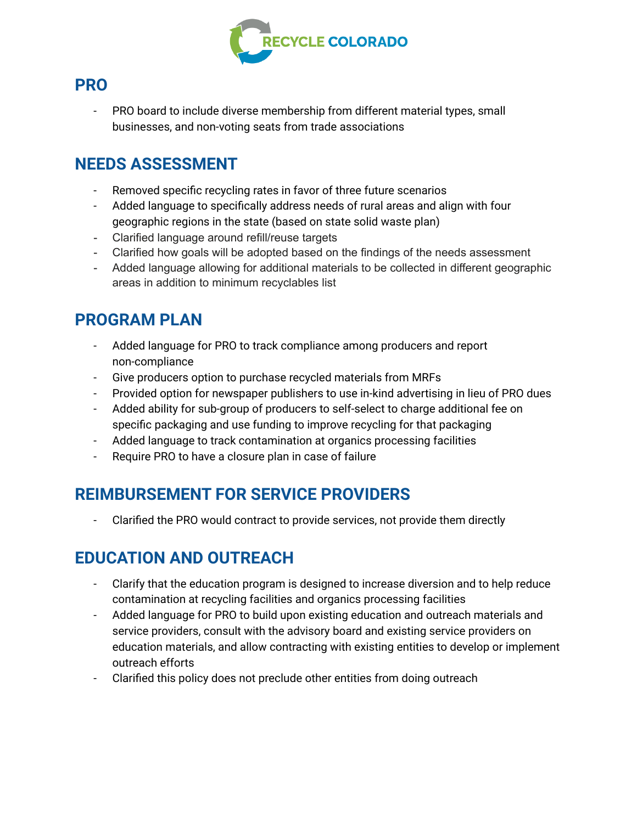

#### **PRO**

- PRO board to include diverse membership from different material types, small businesses, and non-voting seats from trade associations

### **NEEDS ASSESSMENT**

- Removed specific recycling rates in favor of three future scenarios
- Added language to specifically address needs of rural areas and align with four geographic regions in the state (based on state solid waste plan)
- Clarified language around refill/reuse targets
- Clarified how goals will be adopted based on the findings of the needs assessment
- Added language allowing for additional materials to be collected in different geographic areas in addition to minimum recyclables list

## **PROGRAM PLAN**

- Added language for PRO to track compliance among producers and report non-compliance
- Give producers option to purchase recycled materials from MRFs
- Provided option for newspaper publishers to use in-kind advertising in lieu of PRO dues
- Added ability for sub-group of producers to self-select to charge additional fee on specific packaging and use funding to improve recycling for that packaging
- Added language to track contamination at organics processing facilities
- Require PRO to have a closure plan in case of failure

## **REIMBURSEMENT FOR SERVICE PROVIDERS**

Clarified the PRO would contract to provide services, not provide them directly

#### **EDUCATION AND OUTREACH**

- Clarify that the education program is designed to increase diversion and to help reduce contamination at recycling facilities and organics processing facilities
- Added language for PRO to build upon existing education and outreach materials and service providers, consult with the advisory board and existing service providers on education materials, and allow contracting with existing entities to develop or implement outreach efforts
- Clarified this policy does not preclude other entities from doing outreach